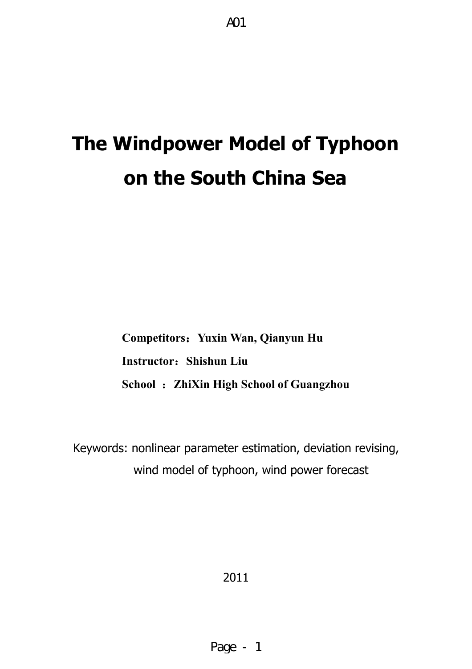# **The Windpower Model of Typhoon on the South China Sea**

**Competitors**:**Yuxin Wan, Qianyun Hu Instructor**:**Shishun Liu School** :**ZhiXin High School of Guangzhou** 

Keywords: nonlinear parameter estimation, deviation revising, wind model of typhoon, wind power forecast

2011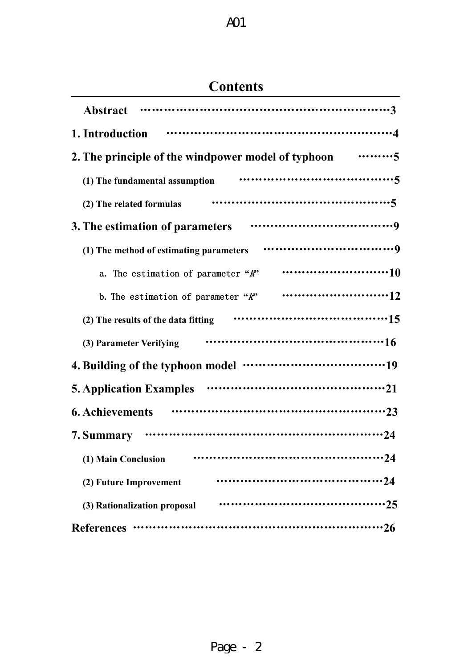# **Contents**

| <b>Abstract</b>                                                        |
|------------------------------------------------------------------------|
| 1. Introduction                                                        |
| . 5<br>2. The principle of the windpower model of typhoon              |
| (1) The fundamental assumption                                         |
| (2) The related formulas                                               |
| 3. The estimation of parameters                                        |
| (1) The method of estimating parameters                                |
| a. The estimation of parameter $\mathscr{R}$                           |
| b. The estimation of parameter $"k"$                                   |
| (2) The results of the data fitting                                    |
| (3) Parameter Verifying                                                |
| 4. Building of the typhoon model ···································19 |
|                                                                        |
| <b>6. Achievements</b>                                                 |
| 7. Summary                                                             |
| (1) Main Conclusion                                                    |
| (2) Future Improvement                                                 |
| (3) Rationalization proposal                                           |
| <b>References</b>                                                      |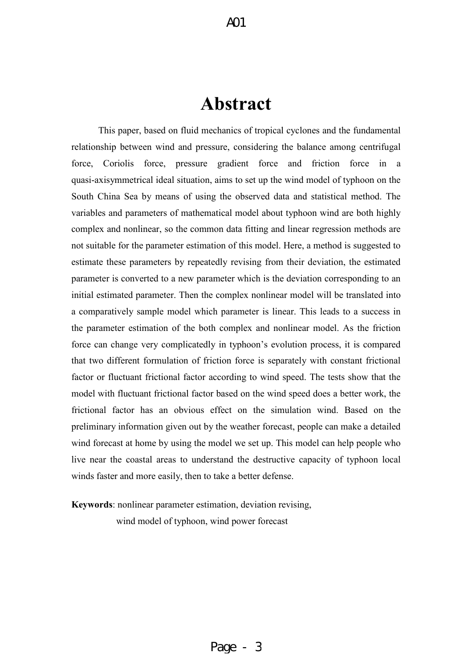# **Abstract**

This paper, based on fluid mechanics of tropical cyclones and the fundamental relationship between wind and pressure, considering the balance among centrifugal force, Coriolis force, pressure gradient force and friction force in a quasi-axisymmetrical ideal situation, aims to set up the wind model of typhoon on the South China Sea by means of using the observed data and statistical method. The variables and parameters of mathematical model about typhoon wind are both highly complex and nonlinear, so the common data fitting and linear regression methods are not suitable for the parameter estimation of this model. Here, a method is suggested to estimate these parameters by repeatedly revising from their deviation, the estimated parameter is converted to a new parameter which is the deviation corresponding to an initial estimated parameter. Then the complex nonlinear model will be translated into a comparatively sample model which parameter is linear. This leads to a success in the parameter estimation of the both complex and nonlinear model. As the friction force can change very complicatedly in typhoon's evolution process, it is compared that two different formulation of friction force is separately with constant frictional factor or fluctuant frictional factor according to wind speed. The tests show that the model with fluctuant frictional factor based on the wind speed does a better work, the frictional factor has an obvious effect on the simulation wind. Based on the preliminary information given out by the weather forecast, people can make a detailed wind forecast at home by using the model we set up. This model can help people who live near the coastal areas to understand the destructive capacity of typhoon local winds faster and more easily, then to take a better defense.

**Keywords**: nonlinear parameter estimation, deviation revising, wind model of typhoon, wind power forecast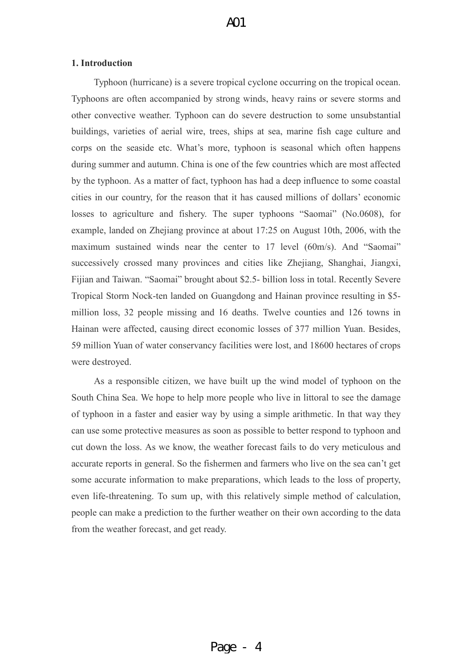#### **1. Introduction**

Typhoon (hurricane) is a severe tropical cyclone occurring on the tropical ocean. Typhoons are often accompanied by strong winds, heavy rains or severe storms and other convective weather. Typhoon can do severe destruction to some unsubstantial buildings, varieties of aerial wire, trees, ships at sea, marine fish cage culture and corps on the seaside etc. What's more, typhoon is seasonal which often happens during summer and autumn. China is one of the few countries which are most affected by the typhoon. As a matter of fact, typhoon has had a deep influence to some coastal cities in our country, for the reason that it has caused millions of dollars' economic losses to agriculture and fishery. The super typhoons "Saomai" (No.0608), for example, landed on Zhejiang province at about 17:25 on August 10th, 2006, with the maximum sustained winds near the center to 17 level (60m/s). And "Saomai" successively crossed many provinces and cities like Zhejiang, Shanghai, Jiangxi, Fijian and Taiwan. "Saomai" brought about \$2.5- billion loss in total. Recently Severe Tropical Storm Nock-ten landed on Guangdong and Hainan province resulting in \$5 million loss, 32 people missing and 16 deaths. Twelve counties and 126 towns in Hainan were affected, causing direct economic losses of 377 million Yuan. Besides, 59 million Yuan of water conservancy facilities were lost, and 18600 hectares of crops were destroyed.

As a responsible citizen, we have built up the wind model of typhoon on the South China Sea. We hope to help more people who live in littoral to see the damage of typhoon in a faster and easier way by using a simple arithmetic. In that way they can use some protective measures as soon as possible to better respond to typhoon and cut down the loss. As we know, the weather forecast fails to do very meticulous and accurate reports in general. So the fishermen and farmers who live on the sea can't get some accurate information to make preparations, which leads to the loss of property, even life-threatening. To sum up, with this relatively simple method of calculation, people can make a prediction to the further weather on their own according to the data from the weather forecast, and get ready.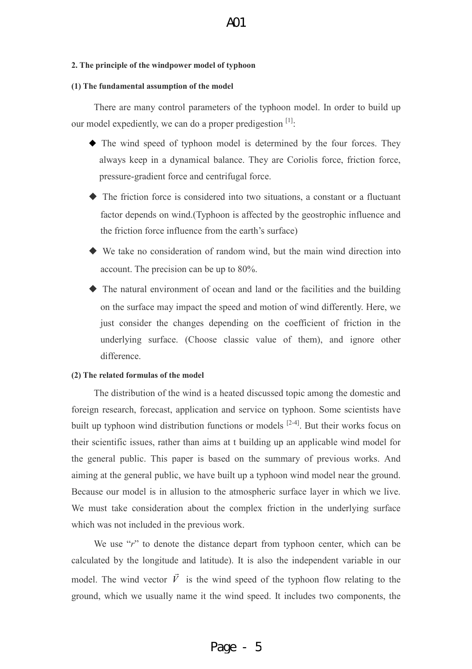#### **2. The principle of the windpower model of typhoon**

#### **(1) The fundamental assumption of the model**

There are many control parameters of the typhoon model. In order to build up our model expediently, we can do a proper predigestion  $[1]$ .

- ◆ The wind speed of typhoon model is determined by the four forces. They always keep in a dynamical balance. They are Coriolis force, friction force, pressure-gradient force and centrifugal force.
- ◆ The friction force is considered into two situations, a constant or a fluctuant factor depends on wind.(Typhoon is affected by the geostrophic influence and the friction force influence from the earth's surface)
- ◆ We take no consideration of random wind, but the main wind direction into account. The precision can be up to 80%.
- ◆ The natural environment of ocean and land or the facilities and the building on the surface may impact the speed and motion of wind differently. Here, we just consider the changes depending on the coefficient of friction in the underlying surface. (Choose classic value of them), and ignore other difference.

#### **(2) The related formulas of the model**

The distribution of the wind is a heated discussed topic among the domestic and foreign research, forecast, application and service on typhoon. Some scientists have built up typhoon wind distribution functions or models  $[2-4]$ . But their works focus on their scientific issues, rather than aims at t building up an applicable wind model for the general public. This paper is based on the summary of previous works. And aiming at the general public, we have built up a typhoon wind model near the ground. Because our model is in allusion to the atmospheric surface layer in which we live. We must take consideration about the complex friction in the underlying surface which was not included in the previous work.

We use "*r*" to denote the distance depart from typhoon center, which can be calculated by the longitude and latitude). It is also the independent variable in our model. The wind vector *V* r is the wind speed of the typhoon flow relating to the ground, which we usually name it the wind speed. It includes two components, the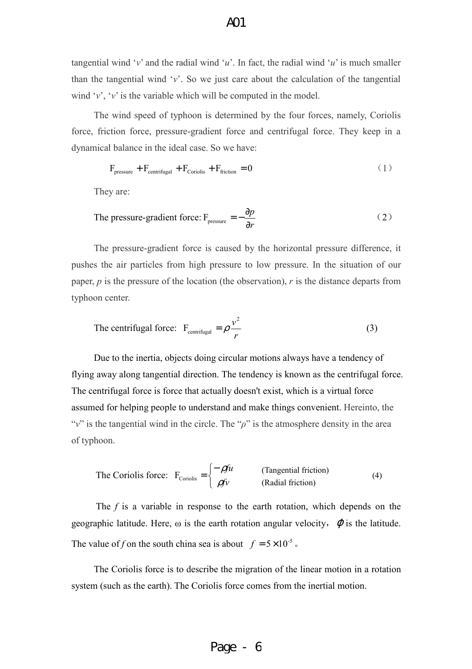tangential wind ' $v$ ' and the radial wind ' $u$ '. In fact, the radial wind ' $u$ ' is much smaller than the tangential wind '*v*'. So we just care about the calculation of the tangential wind  $\forall v$ ,  $\forall v$  is the variable which will be computed in the model.

The wind speed of typhoon is determined by the four forces, namely, Coriolis force, friction force, pressure-gradient force and centrifugal force. They keep in a dynamical balance in the ideal case. So we have:

$$
F_{\text{pressure}} + F_{\text{centrifugal}} + F_{\text{Coriolis}} + F_{\text{friction}} = 0 \tag{1}
$$

They are:

The pressure-gradient force: 
$$
F_{\text{pressure}} = -\frac{\partial p}{\partial r}
$$
 (2)

The pressure-gradient force is caused by the horizontal pressure difference, it pushes the air particles from high pressure to low pressure. In the situation of our paper, *p* is the pressure of the location (the observation), *r* is the distance departs from typhoon center.

The centrifugal force: 
$$
F_{\text{centrifugal}} = \rho \frac{v^2}{r}
$$
 (3)

Due to the inertia, objects doing circular motions always have a tendency of flying away along tangential direction. The tendency is known as the centrifugal force. The centrifugal force is force that actually doesn't exist, which is a virtual force assumed for helping people to understand and make things convenient. Hereinto, the " $v$ " is the tangential wind in the circle. The " $\rho$ " is the atmosphere density in the area of typhoon.

The Coriolis force: 
$$
F_{Coriolis} = \begin{cases} -\rho f u & \text{(Tangential friction)}\\ \rho f v & \text{(Radial friction)} \end{cases}
$$
 (4)

The *f* is a variable in response to the earth rotation, which depends on the geographic latitude. Here,  $\omega$  is the earth rotation angular velocity,  $\varphi$  is the latitude. The value of *f* on the south china sea is about  $f = 5 \times 10^{-5}$ .

The Coriolis force is to describe the migration of the linear motion in a rotation system (such as the earth). The Coriolis force comes from the inertial motion.

# Page - 6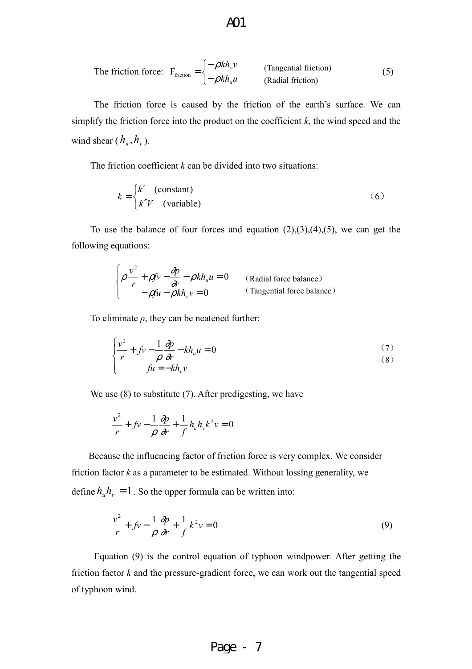The friction force: 
$$
F_{\text{friction}} = \begin{cases} -\rho k h_v v & \text{(Tangential friction)}\\ -\rho k h_u u & \text{(Radial friction)} \end{cases}
$$
(5)

The friction force is caused by the friction of the earth's surface. We can simplify the friction force into the product on the coefficient *k*, the wind speed and the wind shear  $(h_u, h_v)$ .

The friction coefficient *k* can be divided into two situations:

$$
k = \begin{cases} k' & \text{(constant)}\\ k''V & \text{(variable)} \end{cases} \tag{6}
$$

To use the balance of four forces and equation  $(2),(3),(4),(5)$ , we can get the following equations:

$$
\begin{cases}\n\rho \frac{v^2}{r} + \rho f v - \frac{\partial p}{\partial r} - \rho k h_u u = 0 & \text{(Radial force balance)}\\
-\rho f u - \rho k h_v v = 0 & \text{(Tangential force balance)}\n\end{cases}
$$

To eliminate  $\rho$ , they can be neatened further:

$$
\begin{cases}\n\frac{v^2}{r} + fv - \frac{1}{\rho} \frac{\partial p}{\partial r} - kh_u u = 0 & (7) \\
fu = -kh_v v\n\end{cases}
$$

We use  $(8)$  to substitute  $(7)$ . After predigesting, we have

$$
\frac{v^2}{r} + f v - \frac{1}{\rho} \frac{\partial p}{\partial r} + \frac{1}{f} h_u h_v k^2 v = 0
$$

Because the influencing factor of friction force is very complex. We consider friction factor *k* as a parameter to be estimated. Without lossing generality, we define  $h_{\mu}h_{\nu} = 1$ . So the upper formula can be written into:

$$
\frac{v^2}{r} + fv - \frac{1}{\rho} \frac{\partial p}{\partial r} + \frac{1}{f} k^2 v = 0
$$
\n(9)

Equation (9) is the control equation of typhoon windpower. After getting the friction factor *k* and the pressure-gradient force, we can work out the tangential speed of typhoon wind.

# Page - 7

#### $AO1$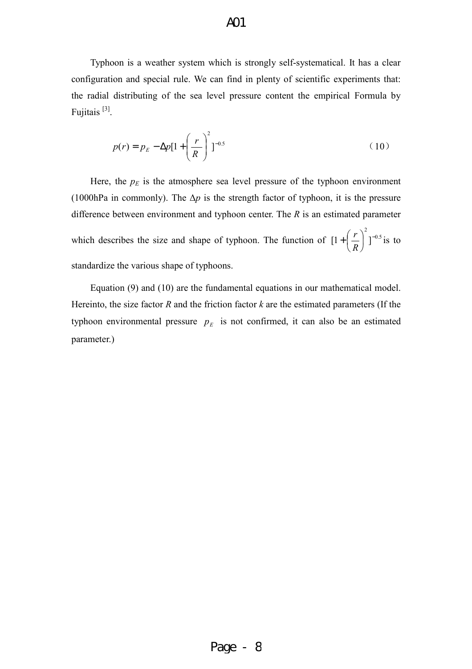# A01

Typhoon is a weather system which is strongly self-systematical. It has a clear configuration and special rule. We can find in plenty of scientific experiments that: the radial distributing of the sea level pressure content the empirical Formula by Fujitais<sup>[3]</sup>.

$$
p(r) = p_E - \Delta p [1 + \left(\frac{r}{R}\right)^2]^{-0.5}
$$
 (10)

Here, the  $p_E$  is the atmosphere sea level pressure of the typhoon environment (1000hPa in commonly). The ∆*p* is the strength factor of typhoon, it is the pressure difference between environment and typhoon center. The *R* is an estimated parameter which describes the size and shape of typhoon. The function of  $[1 + \frac{1}{n}]^{-0.5}$ 2  $[1+|\frac{I}{R}|]^T$ J  $\left(\frac{r}{r}\right)$ J  $+$  $\left($ *R*  $\left(\frac{r}{2}\right)^2$ <sup>-0.5</sup> is to standardize the various shape of typhoons.

Equation (9) and (10) are the fundamental equations in our mathematical model. Hereinto, the size factor *R* and the friction factor *k* are the estimated parameters (If the typhoon environmental pressure  $p_E$  is not confirmed, it can also be an estimated parameter.)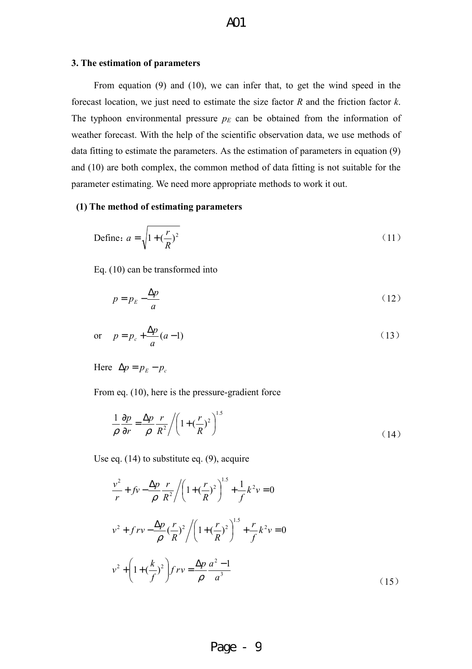#### **3. The estimation of parameters**

From equation (9) and (10), we can infer that, to get the wind speed in the forecast location, we just need to estimate the size factor *R* and the friction factor *k*. The typhoon environmental pressure  $p_E$  can be obtained from the information of weather forecast. With the help of the scientific observation data, we use methods of data fitting to estimate the parameters. As the estimation of parameters in equation (9) and (10) are both complex, the common method of data fitting is not suitable for the parameter estimating. We need more appropriate methods to work it out.

#### **(1) The method of estimating parameters**

Define: 
$$
a = \sqrt{1 + \left(\frac{r}{R}\right)^2}
$$
 (11)

Eq. (10) can be transformed into

$$
p = p_E - \frac{\Delta p}{a} \tag{12}
$$

$$
\text{or} \quad p = p_c + \frac{\Delta p}{a}(a-1) \tag{13}
$$

Here  $\Delta p = p_E - p_c$ 

From eq. (10), here is the pressure-gradient force

$$
\frac{1}{\rho} \frac{\partial p}{\partial r} = \frac{\Delta p}{\rho} \frac{r}{R^2} / \left( 1 + \left( \frac{r}{R} \right)^2 \right)^{1.5}
$$
\n(14)

Use eq. (14) to substitute eq. (9), acquire

$$
\frac{v^2}{r} + f v - \frac{\Delta p}{\rho} \frac{r}{R^2} / \left(1 + \left(\frac{r}{R}\right)^2\right)^{1.5} + \frac{1}{f} k^2 v = 0
$$
  

$$
v^2 + f r v - \frac{\Delta p}{\rho} \left(\frac{r}{R}\right)^2 / \left(1 + \left(\frac{r}{R}\right)^2\right)^{1.5} + \frac{r}{f} k^2 v = 0
$$
  

$$
v^2 + \left(1 + \left(\frac{k}{f}\right)^2\right) f r v = \frac{\Delta p}{\rho} \frac{a^2 - 1}{a^3}
$$
 (15)

# Page - 9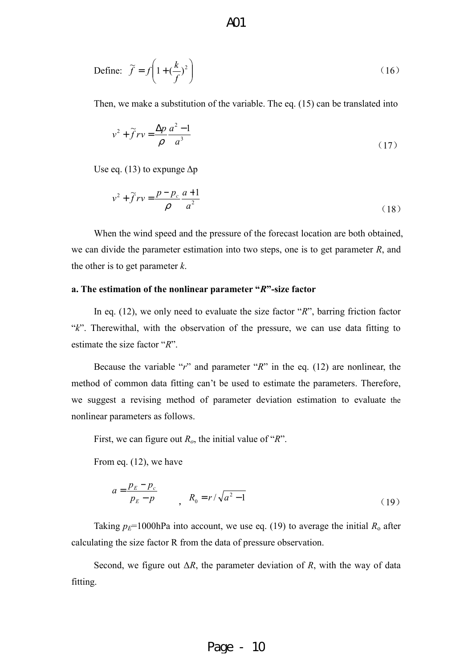Define: 
$$
\widetilde{f} = f\left(1 + \left(\frac{k}{f}\right)^2\right)
$$
 (16)

Then, we make a substitution of the variable. The eq. (15) can be translated into

$$
v^2 + \widetilde{f}rv = \frac{\Delta p}{\rho} \frac{a^2 - 1}{a^3} \tag{17}
$$

Use eq. (13) to expunge  $\Delta p$ 

$$
v^2 + \tilde{f}rv = \frac{p - p_c}{\rho} \frac{a + 1}{a^2}
$$
 (18)

When the wind speed and the pressure of the forecast location are both obtained, we can divide the parameter estimation into two steps, one is to get parameter *R*, and the other is to get parameter *k*.

#### **a. The estimation of the nonlinear parameter "***R***"-size factor**

In eq. (12), we only need to evaluate the size factor "*R*", barring friction factor "*k*". Therewithal, with the observation of the pressure, we can use data fitting to estimate the size factor "*R*".

Because the variable "*r*" and parameter "*R*" in the eq. (12) are nonlinear, the method of common data fitting can't be used to estimate the parameters. Therefore, we suggest a revising method of parameter deviation estimation to evaluate the nonlinear parameters as follows.

First, we can figure out *Ro*, the initial value of "*R*".

From eq. (12), we have

$$
a = \frac{p_E - p_c}{p_E - p} \qquad , \quad R_0 = r / \sqrt{a^2 - 1} \tag{19}
$$

Taking  $p_E$ =1000hPa into account, we use eq. (19) to average the initial  $R_0$  after calculating the size factor R from the data of pressure observation.

Second, we figure out ∆*R*, the parameter deviation of *R*, with the way of data fitting.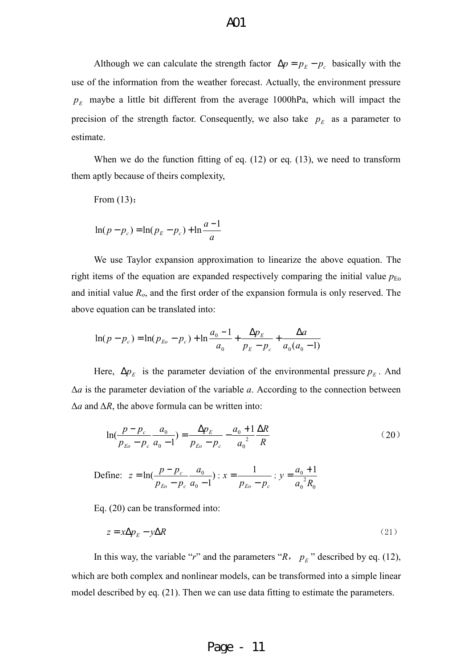Although we can calculate the strength factor  $\Delta p = p_E - p_c$  basically with the use of the information from the weather forecast. Actually, the environment pressure  $p_E$  maybe a little bit different from the average 1000hPa, which will impact the precision of the strength factor. Consequently, we also take  $p_E$  as a parameter to estimate.

When we do the function fitting of eq. (12) or eq. (13), we need to transform them aptly because of theirs complexity,

From (13):

$$
\ln(p - p_c) = \ln(p_E - p_c) + \ln \frac{a - 1}{a}
$$

We use Taylor expansion approximation to linearize the above equation. The right items of the equation are expanded respectively comparing the initial value  $p_{E_0}$ and initial value *Ro*, and the first order of the expansion formula is only reserved. The above equation can be translated into:

$$
\ln(p - p_c) = \ln(p_{Eo} - p_c) + \ln \frac{a_0 - 1}{a_0} + \frac{\Delta p_E}{p_E - p_c} + \frac{\Delta a}{a_0(a_0 - 1)}
$$

Here,  $\Delta p_E$  is the parameter deviation of the environmental pressure  $p_E$ . And ∆*a* is the parameter deviation of the variable *a*. According to the connection between ∆*a* and ∆*R*, the above formula can be written into:

$$
\ln(\frac{p-p_c}{p_{E_o}-p_c}\frac{a_0}{a_0-1}) = \frac{\Delta p_E}{p_{E_o}-p_c} - \frac{a_0+1}{a_0^2}\frac{\Delta R}{R}
$$
 (20)

Define: 
$$
z = \ln(\frac{p - p_c}{p_{E_0} - p_c} \frac{a_0}{a_0 - 1})
$$
;  $x = \frac{1}{p_{E_0} - p_c}$ ;  $y = \frac{a_0 + 1}{a_0^2 R_0}$ 

Eq. (20) can be transformed into:

$$
z = x\Delta p_E - y\Delta R \tag{21}
$$

In this way, the variable "*r*" and the parameters " $R$ ,  $p_E$ " described by eq. (12), which are both complex and nonlinear models, can be transformed into a simple linear model described by eq. (21). Then we can use data fitting to estimate the parameters.

# Page - 11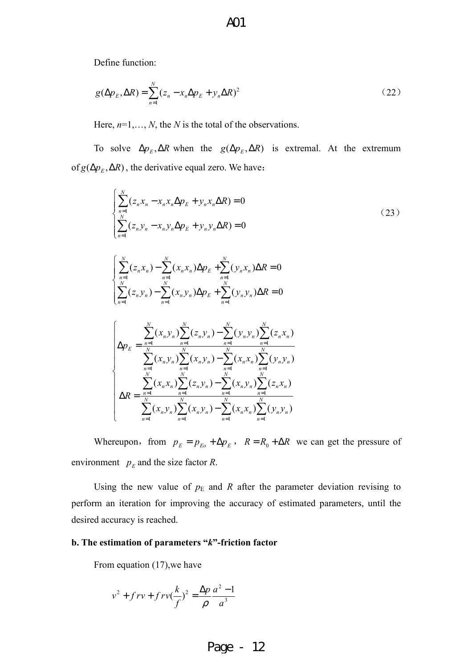Define function:

$$
g(\Delta p_E, \Delta R) = \sum_{n=1}^{N} (z_n - x_n \Delta p_E + y_n \Delta R)^2
$$
 (22)

Here, *n*=1,…, *N*, the *N* is the total of the observations.

To solve  $\Delta p_E$ ,  $\Delta R$  when the  $g(\Delta p_E, \Delta R)$  is extremal. At the extremum of  $g(\Delta p_E, \Delta R)$ , the derivative equal zero. We have:

$$
\begin{cases}\n\sum_{n=1}^{N} (z_n x_n - x_n x_n \Delta p_E + y_n x_n \Delta R) = 0 \\
\sum_{n=1}^{N} (z_n y_n - x_n y_n \Delta p_E + y_n y_n \Delta R) = 0\n\end{cases}
$$
\n(23)

$$
\begin{cases} \sum_{n=1}^{N} (z_n x_n) - \sum_{n=1}^{N} (x_n x_n) \Delta p_E + \sum_{n=1}^{N} (y_n x_n) \Delta R = 0\\ \sum_{n=1}^{N} (z_n y_n) - \sum_{n=1}^{N} (x_n y_n) \Delta p_E + \sum_{n=1}^{N} (y_n y_n) \Delta R = 0 \end{cases}
$$

$$
\begin{cases}\n\Delta p_E = \frac{\sum_{n=1}^{N} (x_n y_n) \sum_{n=1}^{N} (z_n y_n) - \sum_{n=1}^{N} (y_n y_n) \sum_{n=1}^{N} (z_n x_n)}{\sum_{n=1}^{N} (x_n y_n) \sum_{n=1}^{N} (x_n y_n) - \sum_{n=1}^{N} (x_n x_n) \sum_{n=1}^{N} (y_n y_n)} \\
\Delta R = \frac{\sum_{n=1}^{N} (x_n x_n) \sum_{n=1}^{N} (z_n y_n) - \sum_{n=1}^{N} (x_n y_n) \sum_{n=1}^{N} (z_n x_n)}{\sum_{n=1}^{N} (x_n y_n) \sum_{n=1}^{N} (x_n y_n) - \sum_{n=1}^{N} (x_n x_n) \sum_{n=1}^{N} (y_n y_n)}\n\end{cases}
$$

Whereupon, from  $p_E = p_{E_0} + \Delta p_E$ ,  $R = R_0 + \Delta R$  we can get the pressure of environment  $p_E$  and the size factor *R*.

Using the new value of  $p<sub>E</sub>$  and *R* after the parameter deviation revising to perform an iteration for improving the accuracy of estimated parameters, until the desired accuracy is reached.

#### **b. The estimation of parameters "***k***"-friction factor**

From equation (17), we have

$$
v^{2} + f r v + f r v (\frac{k}{f})^{2} = \frac{\Delta p}{\rho} \frac{a^{2} - 1}{a^{3}}
$$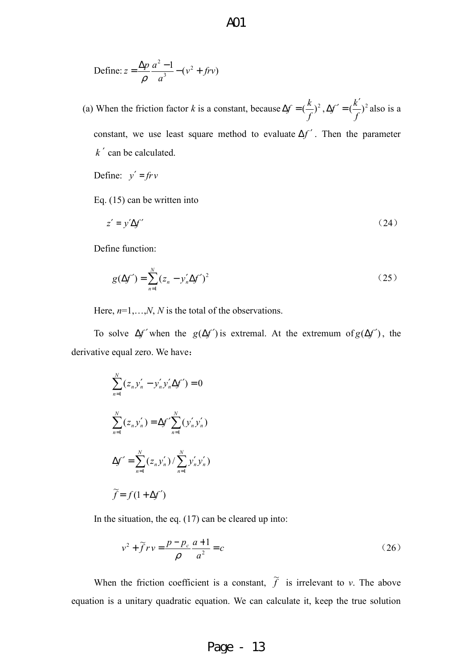Define: 
$$
z = \frac{\Delta p}{\rho} \frac{a^2 - 1}{a^3} - (v^2 + frv)
$$

(a) When the friction factor *k* is a constant, because  $\Delta f = (\frac{\lambda}{a})^2$ *f*  $\Delta f = (\frac{k}{c})^2$ ,  $\Delta f' = (\frac{k'}{c})^2$ *f*  $f' = \left(\frac{k}{2}\right)$  $\Delta f' = \left(\frac{k'}{g}\right)^2$  also is a constant, we use least square method to evaluate ∆*f* ′ . Then the parameter *k* ′ can be calculated.

Define:  $y' = f r v$ 

Eq. (15) can be written into

$$
z' = y'\Delta f' \tag{24}
$$

Define function:

$$
g(\Delta f') = \sum_{n=1}^{N} (z_n - y'_n \Delta f')^2
$$
 (25)

Here, *n*=1,…,*N*, *N* is the total of the observations.

To solve  $\Delta f'$  when the  $g(\Delta f')$  is extremal. At the extremum of  $g(\Delta f')$ , the derivative equal zero. We have:

$$
\sum_{n=1}^{N} (z_n y'_n - y'_n y'_n \Delta f') = 0
$$
  

$$
\sum_{n=1}^{N} (z_n y'_n) = \Delta f' \sum_{n=1}^{N} (y'_n y'_n)
$$
  

$$
\Delta f' = \sum_{n=1}^{N} (z_n y'_n) / \sum_{n=1}^{N} y'_n y'_n
$$
  

$$
\widetilde{f} = f(1 + \Delta f')
$$

In the situation, the eq. (17) can be cleared up into:

$$
v^2 + \widetilde{f}rv = \frac{p - p_c}{\rho} \frac{a + 1}{a^2} = c \tag{26}
$$

When the friction coefficient is a constant,  $\tilde{f}$  is irrelevant to *v*. The above equation is a unitary quadratic equation. We can calculate it, keep the true solution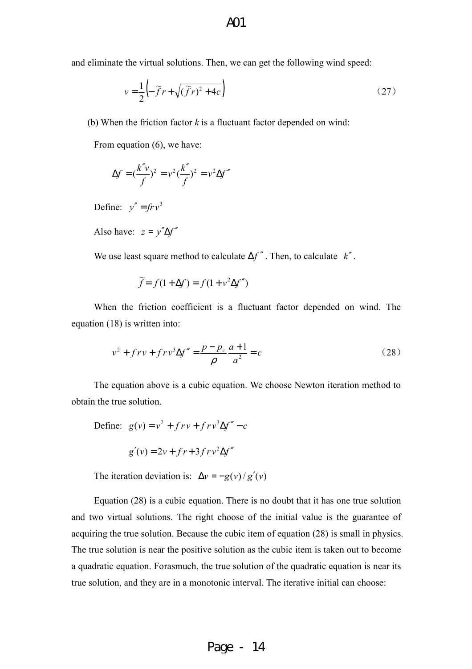and eliminate the virtual solutions. Then, we can get the following wind speed:

$$
v = \frac{1}{2} \left( -\widetilde{f}r + \sqrt{(\widetilde{f}r)^2 + 4c} \right) \tag{27}
$$

(b) When the friction factor *k* is a fluctuant factor depended on wind:

From equation  $(6)$ , we have:

$$
\Delta f = \left(\frac{k''v}{f}\right)^2 = v^2 \left(\frac{k''}{f}\right)^2 = v^2 \Delta f''
$$

Define:  $y'' = f r v^3$ 

Also have:  $z = y''\Delta f''$ 

We use least square method to calculate ∆*f* ′′ . Then, to calculate *k*′′.

$$
\widetilde{f} = f(1 + \Delta f) = f(1 + v^2 \Delta f'')
$$

When the friction coefficient is a fluctuant factor depended on wind. The equation (18) is written into:

$$
v^{2} + f r v + f r v^{3} \Delta f'' = \frac{p - p_{c}}{\rho} \frac{a + 1}{a^{2}} = c
$$
 (28)

The equation above is a cubic equation. We choose Newton iteration method to obtain the true solution.

Define: 
$$
g(v) = v^2 + f r v + f r v^3 \Delta f'' - c
$$

$$
g'(v) = 2v + fr + 3frv^2\Delta f''
$$

The iteration deviation is:  $\Delta v = -g(v)/g'(v)$ 

Equation (28) is a cubic equation. There is no doubt that it has one true solution and two virtual solutions. The right choose of the initial value is the guarantee of acquiring the true solution. Because the cubic item of equation (28) is small in physics. The true solution is near the positive solution as the cubic item is taken out to become a quadratic equation. Forasmuch, the true solution of the quadratic equation is near its true solution, and they are in a monotonic interval. The iterative initial can choose: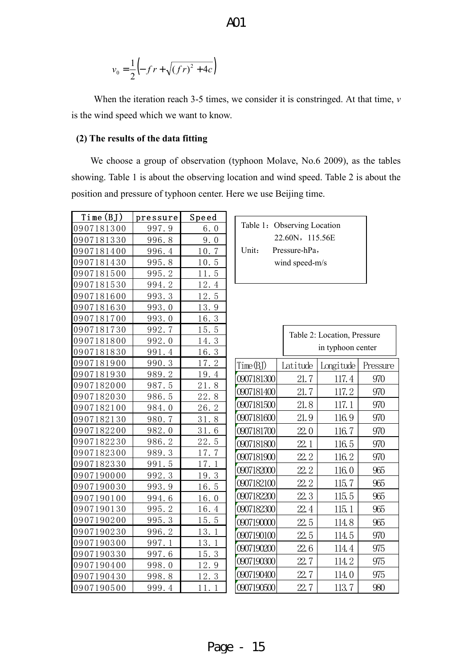$$
v_0 = \frac{1}{2} \left( -fr + \sqrt{(fr)^2 + 4c} \right)
$$

When the iteration reach 3-5 times, we consider it is constringed. At that time, *v* is the wind speed which we want to know.

#### **(2) The results of the data fitting**

We choose a group of observation (typhoon Molave, No.6 2009), as the tables showing. Table 1 is about the observing location and wind speed. Table 2 is about the position and pressure of typhoon center. Here we use Beijing time.

| Time (BJ)  | pressure | Speed                 |                    |            |
|------------|----------|-----------------------|--------------------|------------|
| 0907181300 | 997.9    | 6.0                   | Table 1: Observing |            |
| 0907181330 | 996.8    | 9.0                   |                    | 22.60N,    |
| 0907181400 | 996.4    | 10.7                  | Unit:              | Pressure-h |
| 0907181430 | 995.8    | 10.5                  |                    | wind spee  |
| 0907181500 | 995.2    | 11.5                  |                    |            |
| 0907181530 | 994.2    | 12.4                  |                    |            |
| 0907181600 | 993.3    | 12.5                  |                    |            |
| 0907181630 | 993.0    | 13.9                  |                    |            |
| 0907181700 | 993.0    | 16.3                  |                    |            |
| 0907181730 | 992.7    | 15.5                  |                    | Table      |
| 0907181800 | 992.0    | 14.3                  |                    |            |
| 0907181830 | 991.4    | 16.3                  |                    |            |
| 0907181900 | 990.3    | 17.2                  | Time(BJ)           | Latitud    |
| 0907181930 | 989.2    | 19.4                  | 0907181300         | 21.        |
| 0907182000 | 987.5    | 21.8                  |                    |            |
| 0907182030 | 986.5    | 22.8                  | 0907181400         | 21.        |
| 0907182100 | 984.0    | $\overline{2}$<br>26. | 0907181500         | 21.        |
| 0907182130 | 980.7    | 31.8                  | 0907181600         | 21.        |
| 0907182200 | 982.0    | 31.6                  | 0907181700         | 22.        |
| 0907182230 | 986.2    | 22.5                  | 0907181800         | 22.        |
| 0907182300 | 989.3    | 17.7                  | 0907181900         | 22.        |
| 0907182330 | 991.5    | 17.1                  |                    |            |
| 0907190000 | 992.3    | 19.3                  | 0907182000         | 22.        |
| 0907190030 | 993.9    | 16.5                  | 0907182100         | 22.        |
| 0907190100 | 994.6    | 16.0                  | 0907182200         | 22.        |
| 0907190130 | 995.2    | 16.4                  | 0907182300         | 22.        |
| 0907190200 | 995.3    | 15.5                  | 0907190000         | 22.        |
| 0907190230 | 996.2    | 13.1                  | 0907190100         | 22.        |
| 0907190300 | 997.1    | 13.1                  | 0907190200         | 22.        |
| 0907190330 | 997.6    | 15.3                  |                    |            |
| 0907190400 | 998.0    | 12.9                  | 0907190300         | 22.        |
| 0907190430 | 998.8    | 12.3                  | 0907190400         | 22.        |
| 0907190500 | 999.4    | 11.1                  | 0907190500         | 22.        |

|       | Table 1: Observing Location |  |
|-------|-----------------------------|--|
|       | 22.60N, 115.56E             |  |
| Unit: | Pressure-hPa,               |  |
|       | wind speed-m/s              |  |

|            |          | Table 2: Location, Pressure<br>in typhoon center |          |  |
|------------|----------|--------------------------------------------------|----------|--|
| Time (BJ)  | Latitude | Longitude                                        | Pressure |  |
| 0907181300 | 21.7     | 117.4                                            | 970      |  |
| 0907181400 | 21.7     | 117.2                                            | 970      |  |
| 0907181500 | 21.8     | 117.1                                            | 970      |  |
| 0907181600 | 21.9     | 116.9                                            | 970      |  |
| 0907181700 | 22.0     | 116.7                                            | 970      |  |
| 0907181800 | 22.1     | 116.5                                            | 970      |  |
| 0907181900 | 22.2     | 116.2                                            | 970      |  |
| 0907182000 | 22.2     | 116.0                                            | 965      |  |
| 0907182100 | 22.2     | 115.7                                            | 965      |  |
| 0907182200 | 22.3     | 115.5                                            | 965      |  |
| 0907182300 | 22.4     | 115.1                                            | 965      |  |
| 0907190000 | 22.5     | 114.8                                            | 965      |  |
| 0907190100 | 22.5     | 114.5                                            | 970      |  |
| 0907190200 | 22.6     | 114.4                                            | 975      |  |
| 0907190300 | 22.7     | 114.2                                            | 975      |  |
| 0907190400 | 22.7     | 114.0                                            | 975      |  |
| 0907190500 | 22.7     | 113.7                                            | 980      |  |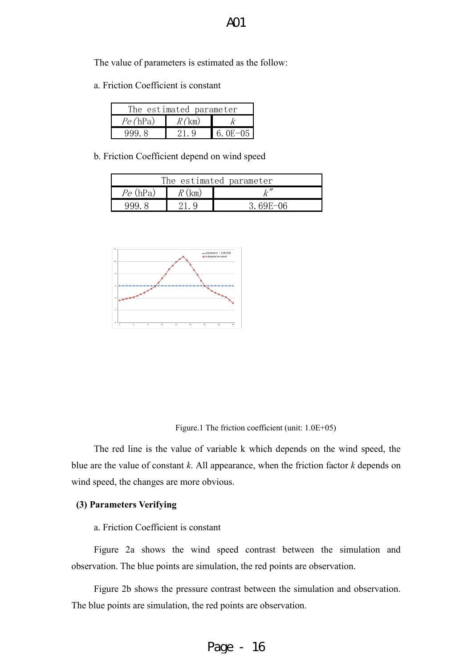The value of parameters is estimated as the follow:

a. Friction Coefficient is constant

| The estimated parameter |          |             |  |
|-------------------------|----------|-------------|--|
| Pe(hPa)                 | $R$ (km) |             |  |
| 999.8                   |          | 6.0E $-0.5$ |  |

b. Friction Coefficient depend on wind speed

| The estimated parameter |  |          |
|-------------------------|--|----------|
| $Pe$ (hPa)              |  |          |
| 994                     |  | 3 69F-06 |



Figure.1 The friction coefficient (unit: 1.0E+05)

The red line is the value of variable k which depends on the wind speed, the blue are the value of constant *k*. All appearance, when the friction factor *k* depends on wind speed, the changes are more obvious.

#### **(3) Parameters Verifying**

#### a. Friction Coefficient is constant

Figure 2a shows the wind speed contrast between the simulation and observation. The blue points are simulation, the red points are observation.

Figure 2b shows the pressure contrast between the simulation and observation. The blue points are simulation, the red points are observation.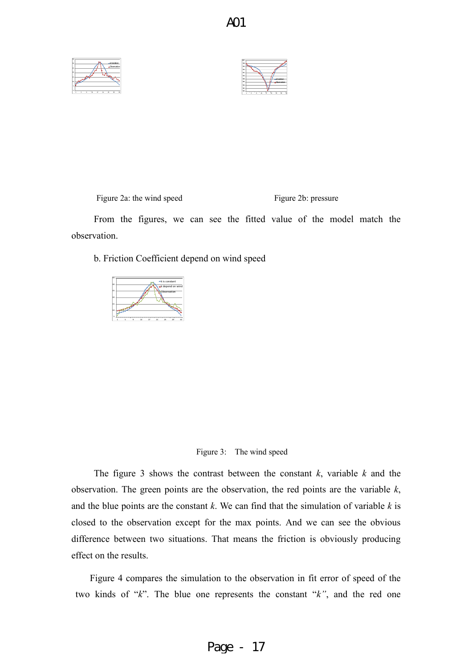A01





Figure 2a: the wind speed Figure 2b: pressure

From the figures, we can see the fitted value of the model match the observation.

b. Friction Coefficient depend on wind speed





The figure 3 shows the contrast between the constant *k*, variable *k* and the observation. The green points are the observation, the red points are the variable *k*, and the blue points are the constant *k*. We can find that the simulation of variable *k* is closed to the observation except for the max points. And we can see the obvious difference between two situations. That means the friction is obviously producing effect on the results.

Figure 4 compares the simulation to the observation in fit error of speed of the two kinds of "*k*". The blue one represents the constant "*k"*, and the red one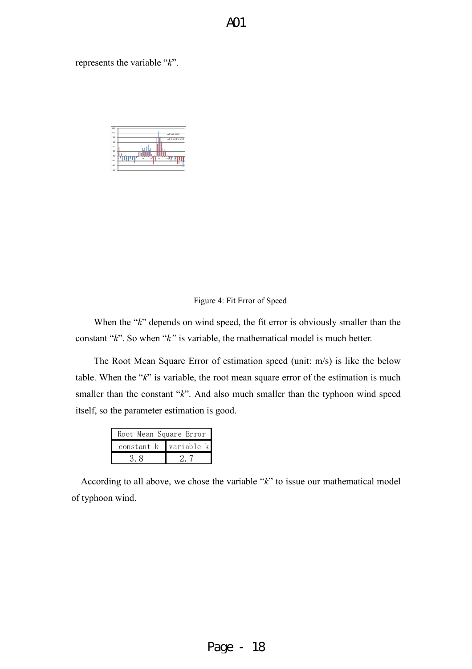represents the variable "*k*".

| 12.0               |                            |
|--------------------|----------------------------|
| 10.0               | II k is constant           |
| 8.0                | <b>II</b> k depend on wind |
| 6.0                |                            |
| 4.0                |                            |
| 2.0                |                            |
| 0.0                |                            |
| 13<br>17<br>$-2.0$ | 25<br>$_{21}$              |
| 4.0                |                            |
| $-6.0$             |                            |

#### Figure 4: Fit Error of Speed

When the "*k*" depends on wind speed, the fit error is obviously smaller than the constant "*k*". So when "*k"* is variable, the mathematical model is much better.

The Root Mean Square Error of estimation speed (unit: m/s) is like the below table. When the "*k*" is variable, the root mean square error of the estimation is much smaller than the constant "*k*". And also much smaller than the typhoon wind speed itself, so the parameter estimation is good.

| Root Mean Square Error |            |
|------------------------|------------|
| constant k             | variable k |
|                        |            |

According to all above, we chose the variable "*k*" to issue our mathematical model of typhoon wind.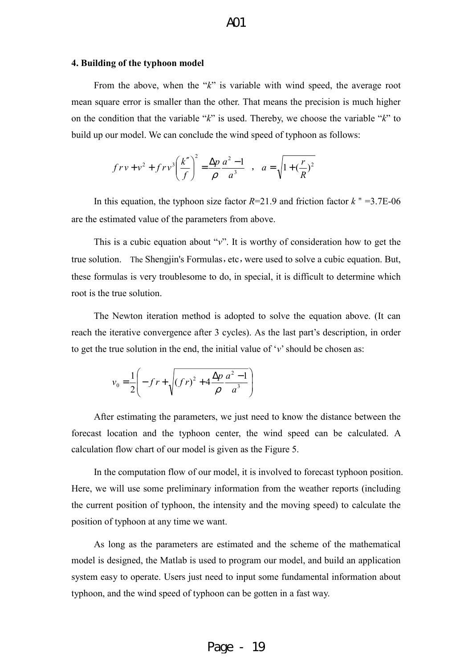#### **4. Building of the typhoon model**

From the above, when the "*k*" is variable with wind speed, the average root mean square error is smaller than the other. That means the precision is much higher on the condition that the variable "*k*" is used. Thereby, we choose the variable "*k*" to build up our model. We can conclude the wind speed of typhoon as follows:

$$
frv + v^2 + frv^3 \left(\frac{k''}{f}\right)^2 = \frac{\Delta p}{\rho} \frac{a^2 - 1}{a^3}
$$
,  $a = \sqrt{1 + \left(\frac{r}{R}\right)^2}$ 

In this equation, the typhoon size factor  $R=21.9$  and friction factor  $k = 3.7E-06$ are the estimated value of the parameters from above.

This is a cubic equation about "*v*". It is worthy of consideration how to get the true solution. The Shengjin's Formulas, etc, were used to solve a cubic equation. But, these formulas is very troublesome to do, in special, it is difficult to determine which root is the true solution.

The Newton iteration method is adopted to solve the equation above. (It can reach the iterative convergence after 3 cycles). As the last part's description, in order to get the true solution in the end, the initial value of '*v*' should be chosen as:

$$
v_0 = \frac{1}{2} \left( -f r + \sqrt{\left(f r\right)^2 + 4 \frac{\Delta p}{\rho} \frac{a^2 - 1}{a^3}} \right)
$$

After estimating the parameters, we just need to know the distance between the forecast location and the typhoon center, the wind speed can be calculated. A calculation flow chart of our model is given as the Figure 5.

In the computation flow of our model, it is involved to forecast typhoon position. Here, we will use some preliminary information from the weather reports (including the current position of typhoon, the intensity and the moving speed) to calculate the position of typhoon at any time we want.

As long as the parameters are estimated and the scheme of the mathematical model is designed, the Matlab is used to program our model, and build an application system easy to operate. Users just need to input some fundamental information about typhoon, and the wind speed of typhoon can be gotten in a fast way.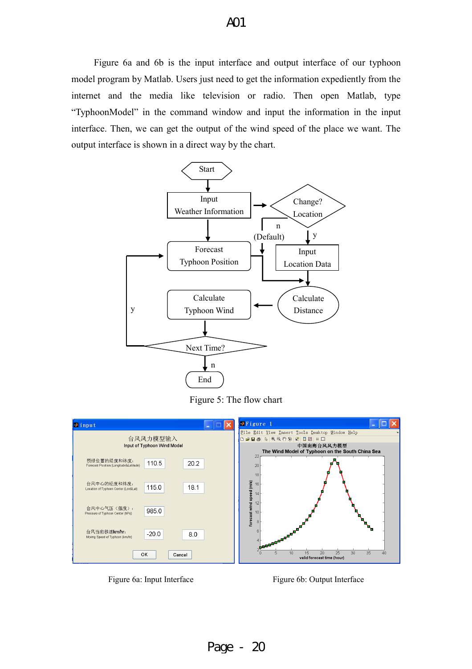Figure 6a and 6b is the input interface and output interface of our typhoon model program by Matlab. Users just need to get the information expediently from the internet and the media like television or radio. Then open Matlab, type "TyphoonModel" in the command window and input the information in the input interface. Then, we can get the output of the wind speed of the place we want. The output interface is shown in a direct way by the chart.



Figure 5: The flow chart



Figure 6a: Input Interface Figure 6b: Output Interface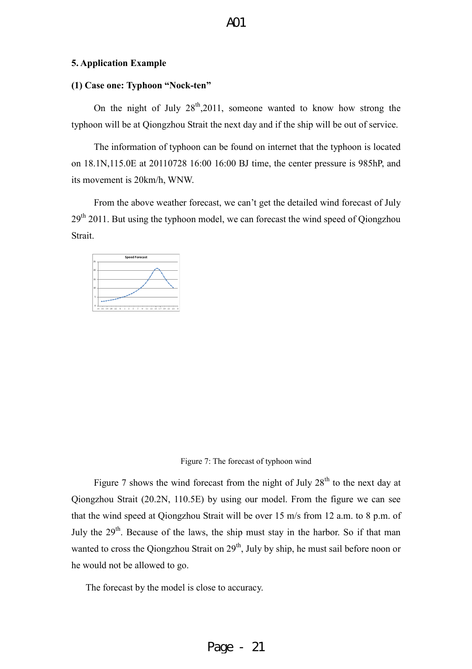#### **5. Application Example**

#### **(1) Case one: Typhoon "Nock-ten"**

On the night of July  $28^{th}$ , 2011, someone wanted to know how strong the typhoon will be at Qiongzhou Strait the next day and if the ship will be out of service.

The information of typhoon can be found on internet that the typhoon is located on 18.1N,115.0E at 20110728 16:00 16:00 BJ time, the center pressure is 985hP, and its movement is 20km/h, WNW.

From the above weather forecast, we can't get the detailed wind forecast of July  $29<sup>th</sup> 2011$ . But using the typhoon model, we can forecast the wind speed of Qiongzhou Strait.



#### Figure 7: The forecast of typhoon wind

Figure 7 shows the wind forecast from the night of July  $28<sup>th</sup>$  to the next day at Qiongzhou Strait (20.2N, 110.5E) by using our model. From the figure we can see that the wind speed at Qiongzhou Strait will be over 15 m/s from 12 a.m. to 8 p.m. of July the  $29<sup>th</sup>$ . Because of the laws, the ship must stay in the harbor. So if that man wanted to cross the Qiongzhou Strait on 29<sup>th</sup>, July by ship, he must sail before noon or he would not be allowed to go.

The forecast by the model is close to accuracy.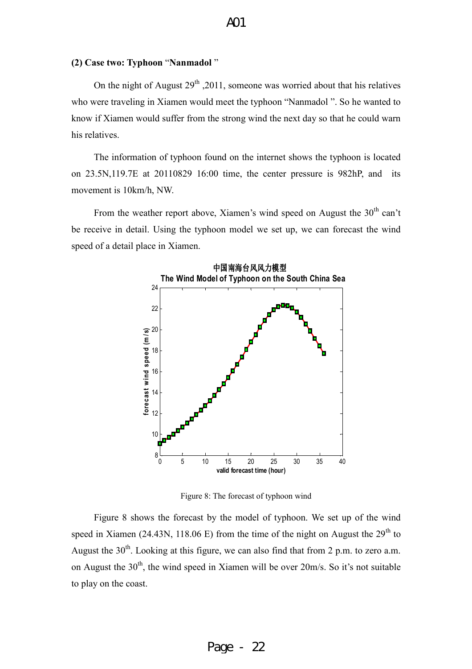#### **(2) Case two: Typhoon** "**Nanmadol** "

On the night of August  $29<sup>th</sup>$ , 2011, someone was worried about that his relatives who were traveling in Xiamen would meet the typhoon "Nanmadol ". So he wanted to know if Xiamen would suffer from the strong wind the next day so that he could warn his relatives.

The information of typhoon found on the internet shows the typhoon is located on 23.5N,119.7E at 20110829 16:00 time, the center pressure is 982hP, and its movement is 10km/h, NW.

From the weather report above, Xiamen's wind speed on August the  $30<sup>th</sup>$  can't be receive in detail. Using the typhoon model we set up, we can forecast the wind speed of a detail place in Xiamen.



Figure 8: The forecast of typhoon wind

Figure 8 shows the forecast by the model of typhoon. We set up of the wind speed in Xiamen (24.43N, 118.06 E) from the time of the night on August the  $29<sup>th</sup>$  to August the  $30<sup>th</sup>$ . Looking at this figure, we can also find that from 2 p.m. to zero a.m. on August the  $30<sup>th</sup>$ , the wind speed in Xiamen will be over  $20<sup>th</sup>$ s. So it's not suitable to play on the coast.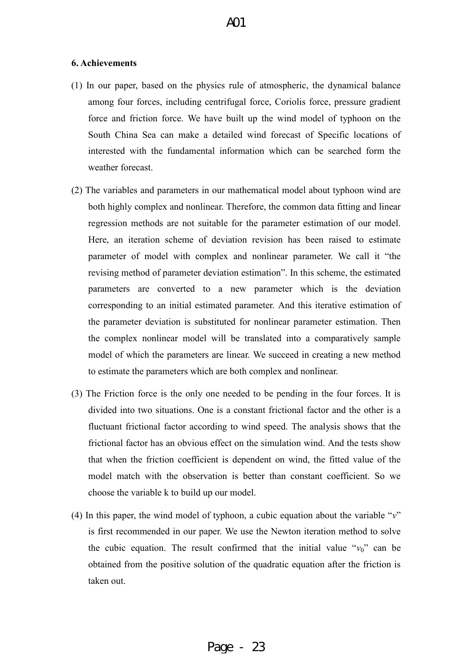#### **6. Achievements**

- (1) In our paper, based on the physics rule of atmospheric, the dynamical balance among four forces, including centrifugal force, Coriolis force, pressure gradient force and friction force. We have built up the wind model of typhoon on the South China Sea can make a detailed wind forecast of Specific locations of interested with the fundamental information which can be searched form the weather forecast.
- (2) The variables and parameters in our mathematical model about typhoon wind are both highly complex and nonlinear. Therefore, the common data fitting and linear regression methods are not suitable for the parameter estimation of our model. Here, an iteration scheme of deviation revision has been raised to estimate parameter of model with complex and nonlinear parameter. We call it "the revising method of parameter deviation estimation". In this scheme, the estimated parameters are converted to a new parameter which is the deviation corresponding to an initial estimated parameter. And this iterative estimation of the parameter deviation is substituted for nonlinear parameter estimation. Then the complex nonlinear model will be translated into a comparatively sample model of which the parameters are linear. We succeed in creating a new method to estimate the parameters which are both complex and nonlinear.
- (3) The Friction force is the only one needed to be pending in the four forces. It is divided into two situations. One is a constant frictional factor and the other is a fluctuant frictional factor according to wind speed. The analysis shows that the frictional factor has an obvious effect on the simulation wind. And the tests show that when the friction coefficient is dependent on wind, the fitted value of the model match with the observation is better than constant coefficient. So we choose the variable k to build up our model.
- (4) In this paper, the wind model of typhoon, a cubic equation about the variable "*v*" is first recommended in our paper. We use the Newton iteration method to solve the cubic equation. The result confirmed that the initial value " $v_0$ " can be obtained from the positive solution of the quadratic equation after the friction is taken out.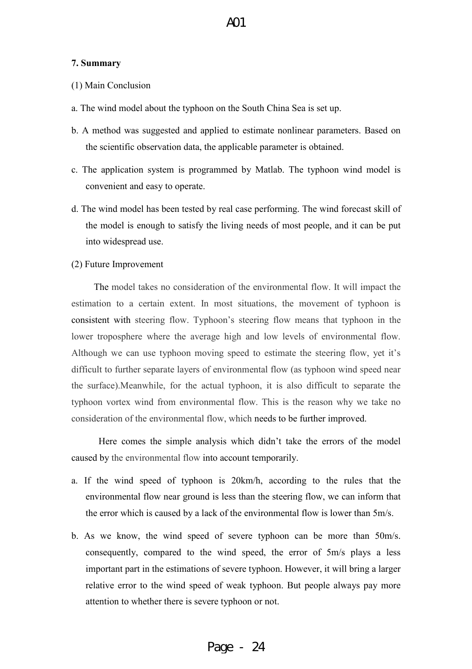#### **7. Summary**

- (1) Main Conclusion
- a. The wind model about the typhoon on the South China Sea is set up.
- b. A method was suggested and applied to estimate nonlinear parameters. Based on the scientific observation data, the applicable parameter is obtained.
- c. The application system is programmed by Matlab. The typhoon wind model is convenient and easy to operate.
- d. The wind model has been tested by real case performing. The wind forecast skill of the model is enough to satisfy the living needs of most people, and it can be put into widespread use.
- (2) Future Improvement

The model takes no consideration of the environmental flow. It will impact the estimation to a certain extent. In most situations, the movement of typhoon is consistent with steering flow. Typhoon's steering flow means that typhoon in the lower troposphere where the average high and low levels of environmental flow. Although we can use typhoon moving speed to estimate the steering flow, yet it's difficult to further separate layers of environmental flow (as typhoon wind speed near the surface).Meanwhile, for the actual typhoon, it is also difficult to separate the typhoon vortex wind from environmental flow. This is the reason why we take no consideration of the environmental flow, which needs to be further improved.

 Here comes the simple analysis which didn't take the errors of the model caused by the environmental flow into account temporarily.

- a. If the wind speed of typhoon is 20km/h, according to the rules that the environmental flow near ground is less than the steering flow, we can inform that the error which is caused by a lack of the environmental flow is lower than 5m/s.
- b. As we know, the wind speed of severe typhoon can be more than 50m/s. consequently, compared to the wind speed, the error of 5m/s plays a less important part in the estimations of severe typhoon. However, it will bring a larger relative error to the wind speed of weak typhoon. But people always pay more attention to whether there is severe typhoon or not.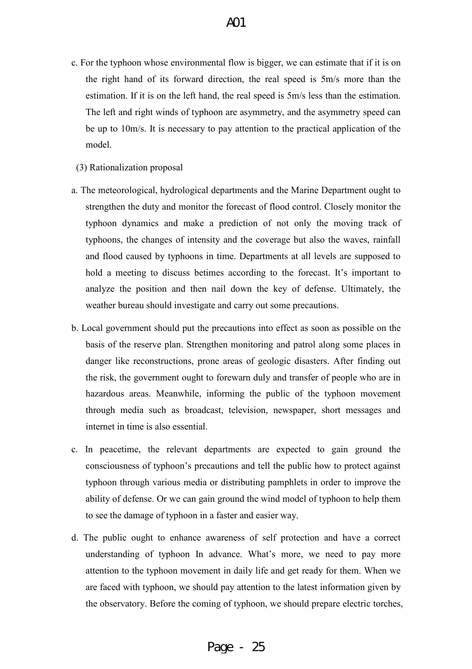- c. For the typhoon whose environmental flow is bigger, we can estimate that if it is on the right hand of its forward direction, the real speed is 5m/s more than the estimation. If it is on the left hand, the real speed is 5m/s less than the estimation. The left and right winds of typhoon are asymmetry, and the asymmetry speed can be up to 10m/s. It is necessary to pay attention to the practical application of the model.
	- (3) Rationalization proposal
- a. The meteorological, hydrological departments and the Marine Department ought to strengthen the duty and monitor the forecast of flood control. Closely monitor the typhoon dynamics and make a prediction of not only the moving track of typhoons, the changes of intensity and the coverage but also the waves, rainfall and flood caused by typhoons in time. Departments at all levels are supposed to hold a meeting to discuss betimes according to the forecast. It's important to analyze the position and then nail down the key of defense. Ultimately, the weather bureau should investigate and carry out some precautions.
- b. Local government should put the precautions into effect as soon as possible on the basis of the reserve plan. Strengthen monitoring and patrol along some places in danger like reconstructions, prone areas of geologic disasters. After finding out the risk, the government ought to forewarn duly and transfer of people who are in hazardous areas. Meanwhile, informing the public of the typhoon movement through media such as broadcast, television, newspaper, short messages and internet in time is also essential.
- c. In peacetime, the relevant departments are expected to gain ground the consciousness of typhoon's precautions and tell the public how to protect against typhoon through various media or distributing pamphlets in order to improve the ability of defense. Or we can gain ground the wind model of typhoon to help them to see the damage of typhoon in a faster and easier way.
- d. The public ought to enhance awareness of self protection and have a correct understanding of typhoon In advance. What's more, we need to pay more attention to the typhoon movement in daily life and get ready for them. When we are faced with typhoon, we should pay attention to the latest information given by the observatory. Before the coming of typhoon, we should prepare electric torches,